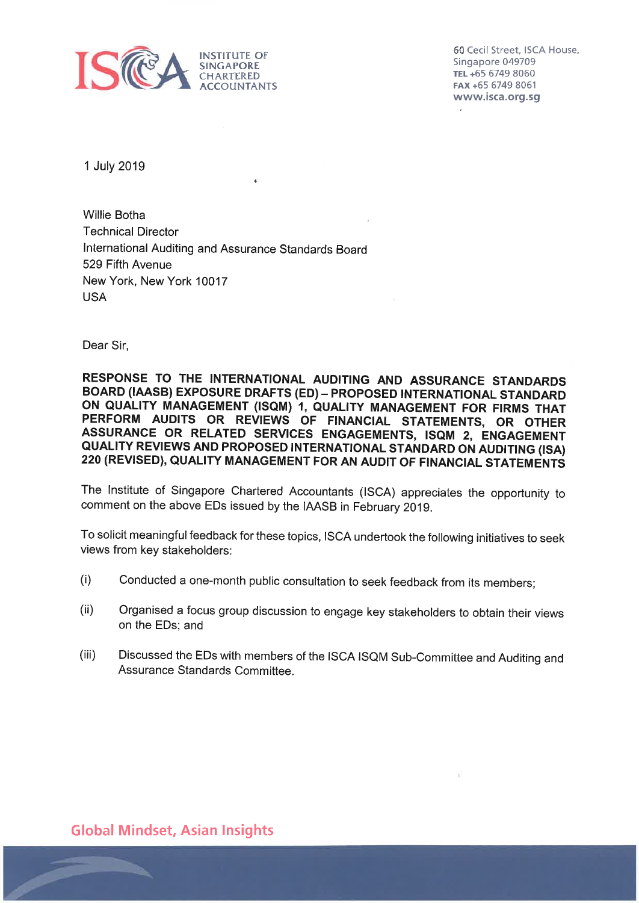

60 Cecil Street, ISCA House, Singapore 049709 TEL +65 6749 8060 FAX +65 6749 8061 www.isca.org.sg

1 July 2019

**Willie Botha Technical Director** International Auditing and Assurance Standards Board 529 Fifth Avenue New York, New York 10017 **USA** 

Dear Sir.

RESPONSE TO THE INTERNATIONAL AUDITING AND ASSURANCE STANDARDS BOARD (IAASB) EXPOSURE DRAFTS (ED) - PROPOSED INTERNATIONAL STANDARD ON QUALITY MANAGEMENT (ISQM) 1, QUALITY MANAGEMENT FOR FIRMS THAT PERFORM AUDITS OR REVIEWS OF FINANCIAL STATEMENTS, OR OTHER ASSURANCE OR RELATED SERVICES ENGAGEMENTS, ISQM 2, ENGAGEMENT QUALITY REVIEWS AND PROPOSED INTERNATIONAL STANDARD ON AUDITING (ISA) 220 (REVISED), QUALITY MANAGEMENT FOR AN AUDIT OF FINANCIAL STATEMENTS

The Institute of Singapore Chartered Accountants (ISCA) appreciates the opportunity to comment on the above EDs issued by the IAASB in February 2019.

To solicit meaningful feedback for these topics, ISCA undertook the following initiatives to seek views from key stakeholders:

- Conducted a one-month public consultation to seek feedback from its members;  $(i)$
- $(ii)$ Organised a focus group discussion to engage key stakeholders to obtain their views on the EDs; and
- $(iii)$ Discussed the EDs with members of the ISCA ISQM Sub-Committee and Auditing and Assurance Standards Committee.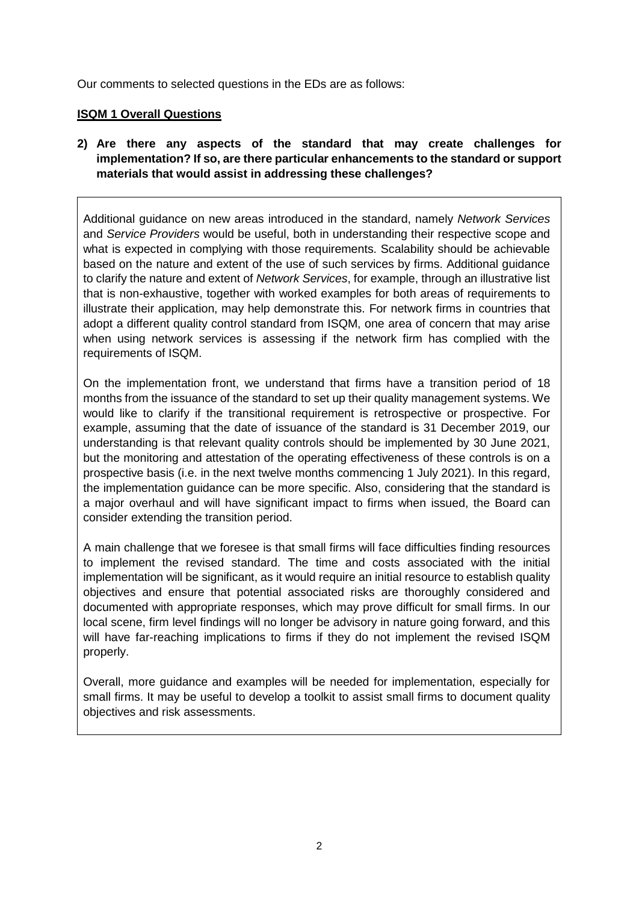Our comments to selected questions in the EDs are as follows:

### **ISQM 1 Overall Questions**

# **2) Are there any aspects of the standard that may create challenges for implementation? If so, are there particular enhancements to the standard or support materials that would assist in addressing these challenges?**

Additional guidance on new areas introduced in the standard, namely *Network Services* and *Service Providers* would be useful, both in understanding their respective scope and what is expected in complying with those requirements. Scalability should be achievable based on the nature and extent of the use of such services by firms. Additional guidance to clarify the nature and extent of *Network Services*, for example, through an illustrative list that is non-exhaustive, together with worked examples for both areas of requirements to illustrate their application, may help demonstrate this. For network firms in countries that adopt a different quality control standard from ISQM, one area of concern that may arise when using network services is assessing if the network firm has complied with the requirements of ISQM.

On the implementation front, we understand that firms have a transition period of 18 months from the issuance of the standard to set up their quality management systems. We would like to clarify if the transitional requirement is retrospective or prospective. For example, assuming that the date of issuance of the standard is 31 December 2019, our understanding is that relevant quality controls should be implemented by 30 June 2021, but the monitoring and attestation of the operating effectiveness of these controls is on a prospective basis (i.e. in the next twelve months commencing 1 July 2021). In this regard, the implementation guidance can be more specific. Also, considering that the standard is a major overhaul and will have significant impact to firms when issued, the Board can consider extending the transition period.

A main challenge that we foresee is that small firms will face difficulties finding resources to implement the revised standard. The time and costs associated with the initial implementation will be significant, as it would require an initial resource to establish quality objectives and ensure that potential associated risks are thoroughly considered and documented with appropriate responses, which may prove difficult for small firms. In our local scene, firm level findings will no longer be advisory in nature going forward, and this will have far-reaching implications to firms if they do not implement the revised ISQM properly.

Overall, more guidance and examples will be needed for implementation, especially for small firms. It may be useful to develop a toolkit to assist small firms to document quality objectives and risk assessments.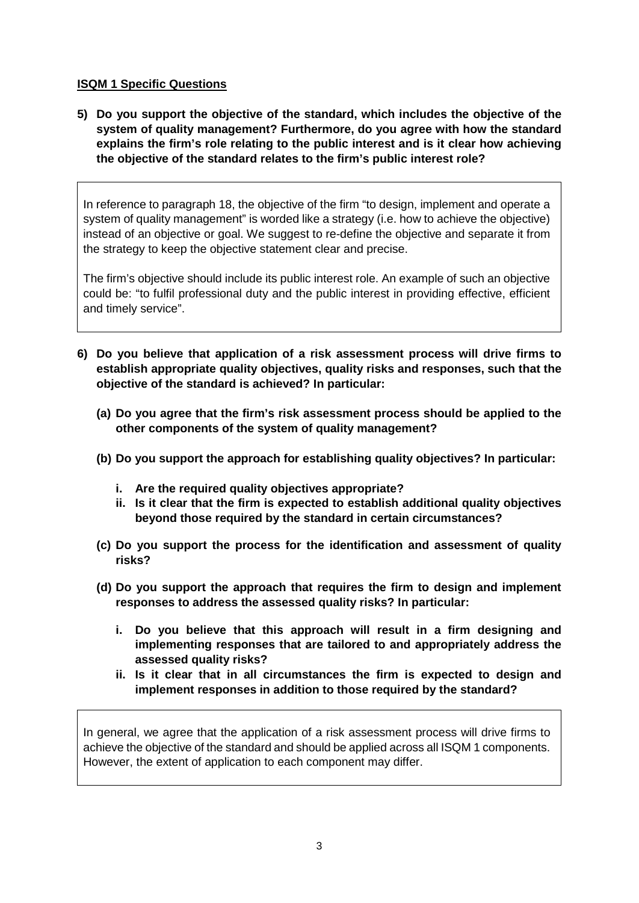### **ISQM 1 Specific Questions**

**5) Do you support the objective of the standard, which includes the objective of the system of quality management? Furthermore, do you agree with how the standard explains the firm's role relating to the public interest and is it clear how achieving the objective of the standard relates to the firm's public interest role?** 

In reference to paragraph 18, the objective of the firm "to design, implement and operate a system of quality management" is worded like a strategy (i.e. how to achieve the objective) instead of an objective or goal. We suggest to re-define the objective and separate it from the strategy to keep the objective statement clear and precise.

The firm's objective should include its public interest role. An example of such an objective could be: "to fulfil professional duty and the public interest in providing effective, efficient and timely service".

- **6) Do you believe that application of a risk assessment process will drive firms to establish appropriate quality objectives, quality risks and responses, such that the objective of the standard is achieved? In particular:** 
	- **(a) Do you agree that the firm's risk assessment process should be applied to the other components of the system of quality management?**
	- **(b) Do you support the approach for establishing quality objectives? In particular:** 
		- **i. Are the required quality objectives appropriate?**
		- **ii. Is it clear that the firm is expected to establish additional quality objectives beyond those required by the standard in certain circumstances?**
	- **(c) Do you support the process for the identification and assessment of quality risks?**
	- **(d) Do you support the approach that requires the firm to design and implement responses to address the assessed quality risks? In particular:**
		- **i. Do you believe that this approach will result in a firm designing and implementing responses that are tailored to and appropriately address the assessed quality risks?**
		- **ii. Is it clear that in all circumstances the firm is expected to design and implement responses in addition to those required by the standard?**

In general, we agree that the application of a risk assessment process will drive firms to achieve the objective of the standard and should be applied across all ISQM 1 components. However, the extent of application to each component may differ.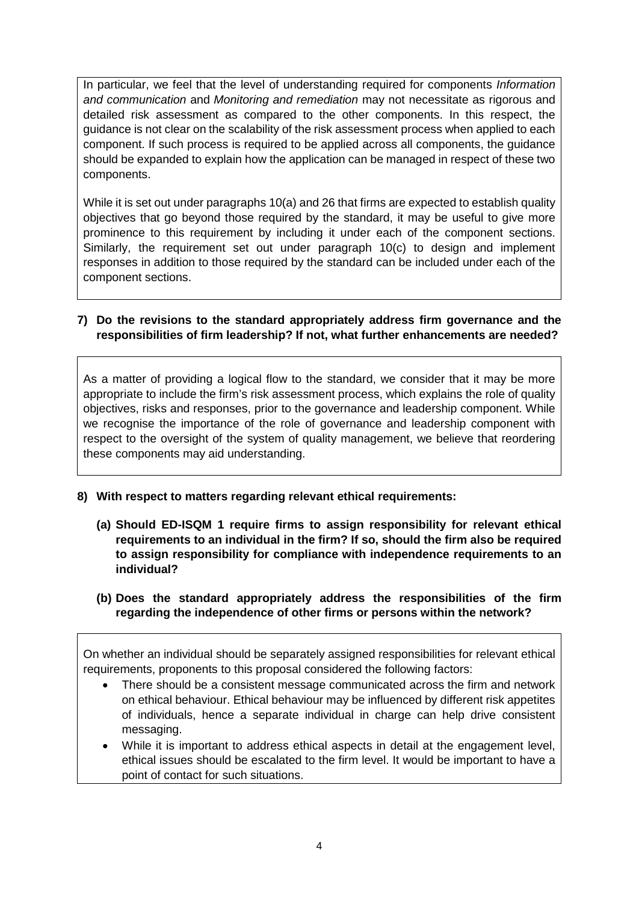In particular, we feel that the level of understanding required for components *Information and communication* and *Monitoring and remediation* may not necessitate as rigorous and detailed risk assessment as compared to the other components. In this respect, the guidance is not clear on the scalability of the risk assessment process when applied to each component. If such process is required to be applied across all components, the guidance should be expanded to explain how the application can be managed in respect of these two components.

While it is set out under paragraphs 10(a) and 26 that firms are expected to establish quality objectives that go beyond those required by the standard, it may be useful to give more prominence to this requirement by including it under each of the component sections. Similarly, the requirement set out under paragraph 10(c) to design and implement responses in addition to those required by the standard can be included under each of the component sections.

# **7) Do the revisions to the standard appropriately address firm governance and the responsibilities of firm leadership? If not, what further enhancements are needed?**

As a matter of providing a logical flow to the standard, we consider that it may be more appropriate to include the firm's risk assessment process, which explains the role of quality objectives, risks and responses, prior to the governance and leadership component. While we recognise the importance of the role of governance and leadership component with respect to the oversight of the system of quality management, we believe that reordering these components may aid understanding.

- **8) With respect to matters regarding relevant ethical requirements:**
	- **(a) Should ED-ISQM 1 require firms to assign responsibility for relevant ethical requirements to an individual in the firm? If so, should the firm also be required to assign responsibility for compliance with independence requirements to an individual?**
	- **(b) Does the standard appropriately address the responsibilities of the firm regarding the independence of other firms or persons within the network?**

On whether an individual should be separately assigned responsibilities for relevant ethical requirements, proponents to this proposal considered the following factors:

- There should be a consistent message communicated across the firm and network on ethical behaviour. Ethical behaviour may be influenced by different risk appetites of individuals, hence a separate individual in charge can help drive consistent messaging.
- While it is important to address ethical aspects in detail at the engagement level, ethical issues should be escalated to the firm level. It would be important to have a point of contact for such situations.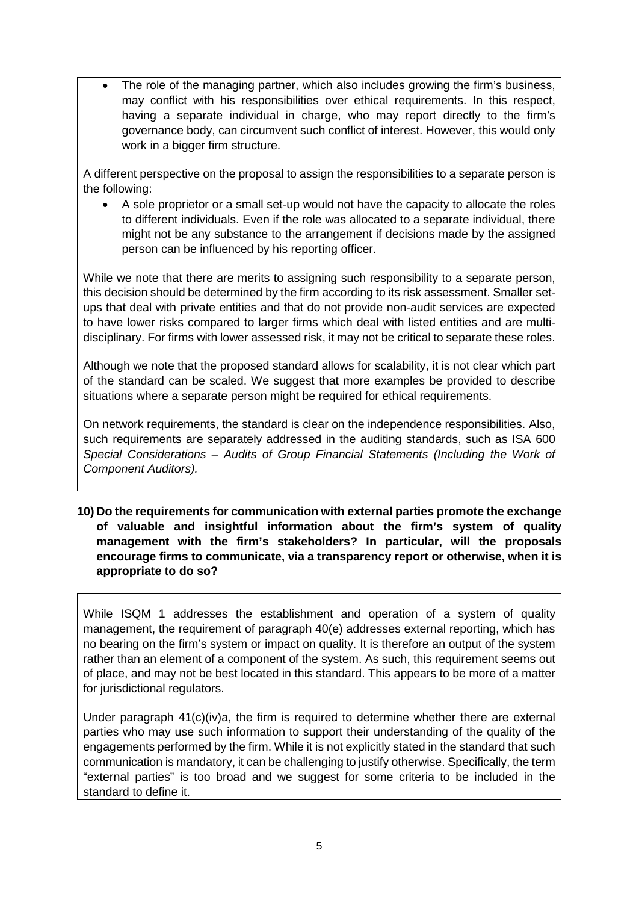The role of the managing partner, which also includes growing the firm's business, may conflict with his responsibilities over ethical requirements. In this respect, having a separate individual in charge, who may report directly to the firm's governance body, can circumvent such conflict of interest. However, this would only work in a bigger firm structure.

A different perspective on the proposal to assign the responsibilities to a separate person is the following:

• A sole proprietor or a small set-up would not have the capacity to allocate the roles to different individuals. Even if the role was allocated to a separate individual, there might not be any substance to the arrangement if decisions made by the assigned person can be influenced by his reporting officer.

While we note that there are merits to assigning such responsibility to a separate person, this decision should be determined by the firm according to its risk assessment. Smaller setups that deal with private entities and that do not provide non-audit services are expected to have lower risks compared to larger firms which deal with listed entities and are multidisciplinary. For firms with lower assessed risk, it may not be critical to separate these roles.

Although we note that the proposed standard allows for scalability, it is not clear which part of the standard can be scaled. We suggest that more examples be provided to describe situations where a separate person might be required for ethical requirements.

On network requirements, the standard is clear on the independence responsibilities. Also, such requirements are separately addressed in the auditing standards, such as ISA 600 *Special Considerations – Audits of Group Financial Statements (Including the Work of Component Auditors).*

**10) Do the requirements for communication with external parties promote the exchange of valuable and insightful information about the firm's system of quality management with the firm's stakeholders? In particular, will the proposals encourage firms to communicate, via a transparency report or otherwise, when it is appropriate to do so?** 

While ISQM 1 addresses the establishment and operation of a system of quality management, the requirement of paragraph 40(e) addresses external reporting, which has no bearing on the firm's system or impact on quality. It is therefore an output of the system rather than an element of a component of the system. As such, this requirement seems out of place, and may not be best located in this standard. This appears to be more of a matter for jurisdictional regulators.

Under paragraph 41(c)(iv)a, the firm is required to determine whether there are external parties who may use such information to support their understanding of the quality of the engagements performed by the firm. While it is not explicitly stated in the standard that such communication is mandatory, it can be challenging to justify otherwise. Specifically, the term "external parties" is too broad and we suggest for some criteria to be included in the standard to define it.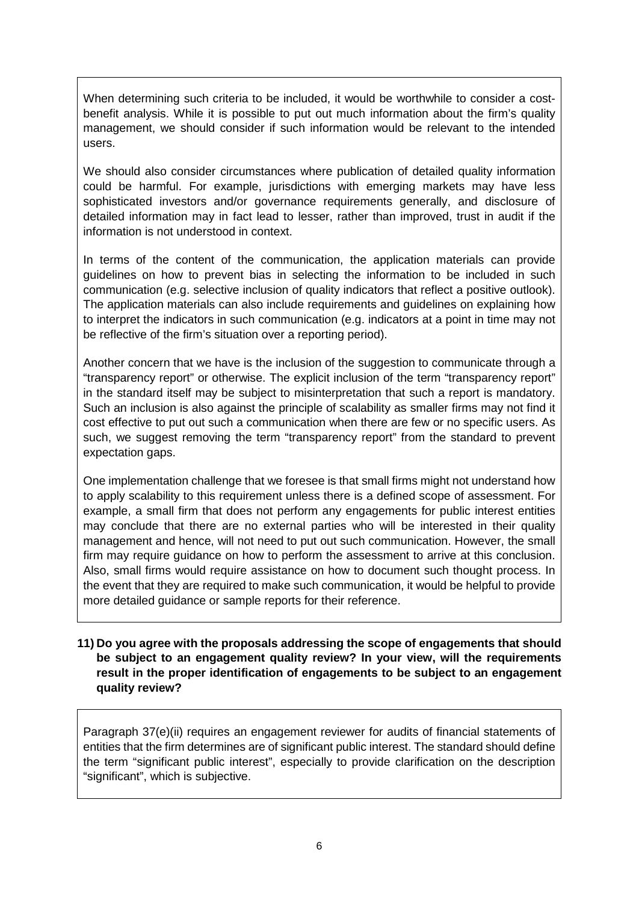When determining such criteria to be included, it would be worthwhile to consider a costbenefit analysis. While it is possible to put out much information about the firm's quality management, we should consider if such information would be relevant to the intended users.

We should also consider circumstances where publication of detailed quality information could be harmful. For example, jurisdictions with emerging markets may have less sophisticated investors and/or governance requirements generally, and disclosure of detailed information may in fact lead to lesser, rather than improved, trust in audit if the information is not understood in context.

In terms of the content of the communication, the application materials can provide guidelines on how to prevent bias in selecting the information to be included in such communication (e.g. selective inclusion of quality indicators that reflect a positive outlook). The application materials can also include requirements and guidelines on explaining how to interpret the indicators in such communication (e.g. indicators at a point in time may not be reflective of the firm's situation over a reporting period).

Another concern that we have is the inclusion of the suggestion to communicate through a "transparency report" or otherwise. The explicit inclusion of the term "transparency report" in the standard itself may be subject to misinterpretation that such a report is mandatory. Such an inclusion is also against the principle of scalability as smaller firms may not find it cost effective to put out such a communication when there are few or no specific users. As such, we suggest removing the term "transparency report" from the standard to prevent expectation gaps.

One implementation challenge that we foresee is that small firms might not understand how to apply scalability to this requirement unless there is a defined scope of assessment. For example, a small firm that does not perform any engagements for public interest entities may conclude that there are no external parties who will be interested in their quality management and hence, will not need to put out such communication. However, the small firm may require guidance on how to perform the assessment to arrive at this conclusion. Also, small firms would require assistance on how to document such thought process. In the event that they are required to make such communication, it would be helpful to provide more detailed guidance or sample reports for their reference.

### **11) Do you agree with the proposals addressing the scope of engagements that should be subject to an engagement quality review? In your view, will the requirements result in the proper identification of engagements to be subject to an engagement quality review?**

Paragraph 37(e)(ii) requires an engagement reviewer for audits of financial statements of entities that the firm determines are of significant public interest. The standard should define the term "significant public interest", especially to provide clarification on the description "significant", which is subjective.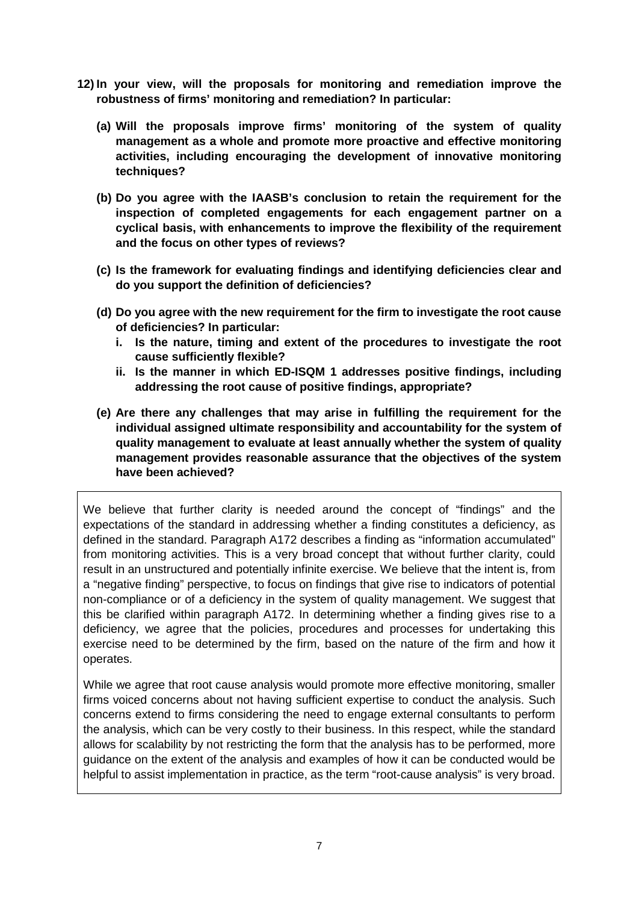- **12) In your view, will the proposals for monitoring and remediation improve the robustness of firms' monitoring and remediation? In particular:** 
	- **(a) Will the proposals improve firms' monitoring of the system of quality management as a whole and promote more proactive and effective monitoring activities, including encouraging the development of innovative monitoring techniques?**
	- **(b) Do you agree with the IAASB's conclusion to retain the requirement for the inspection of completed engagements for each engagement partner on a cyclical basis, with enhancements to improve the flexibility of the requirement and the focus on other types of reviews?**
	- **(c) Is the framework for evaluating findings and identifying deficiencies clear and do you support the definition of deficiencies?**
	- **(d) Do you agree with the new requirement for the firm to investigate the root cause of deficiencies? In particular:** 
		- **i. Is the nature, timing and extent of the procedures to investigate the root cause sufficiently flexible?**
		- **ii. Is the manner in which ED-ISQM 1 addresses positive findings, including addressing the root cause of positive findings, appropriate?**
	- **(e) Are there any challenges that may arise in fulfilling the requirement for the individual assigned ultimate responsibility and accountability for the system of quality management to evaluate at least annually whether the system of quality management provides reasonable assurance that the objectives of the system have been achieved?**

We believe that further clarity is needed around the concept of "findings" and the expectations of the standard in addressing whether a finding constitutes a deficiency, as defined in the standard. Paragraph A172 describes a finding as "information accumulated" from monitoring activities. This is a very broad concept that without further clarity, could result in an unstructured and potentially infinite exercise. We believe that the intent is, from a "negative finding" perspective, to focus on findings that give rise to indicators of potential non-compliance or of a deficiency in the system of quality management. We suggest that this be clarified within paragraph A172. In determining whether a finding gives rise to a deficiency, we agree that the policies, procedures and processes for undertaking this exercise need to be determined by the firm, based on the nature of the firm and how it operates.

While we agree that root cause analysis would promote more effective monitoring, smaller firms voiced concerns about not having sufficient expertise to conduct the analysis. Such concerns extend to firms considering the need to engage external consultants to perform the analysis, which can be very costly to their business. In this respect, while the standard allows for scalability by not restricting the form that the analysis has to be performed, more guidance on the extent of the analysis and examples of how it can be conducted would be helpful to assist implementation in practice, as the term "root-cause analysis" is very broad.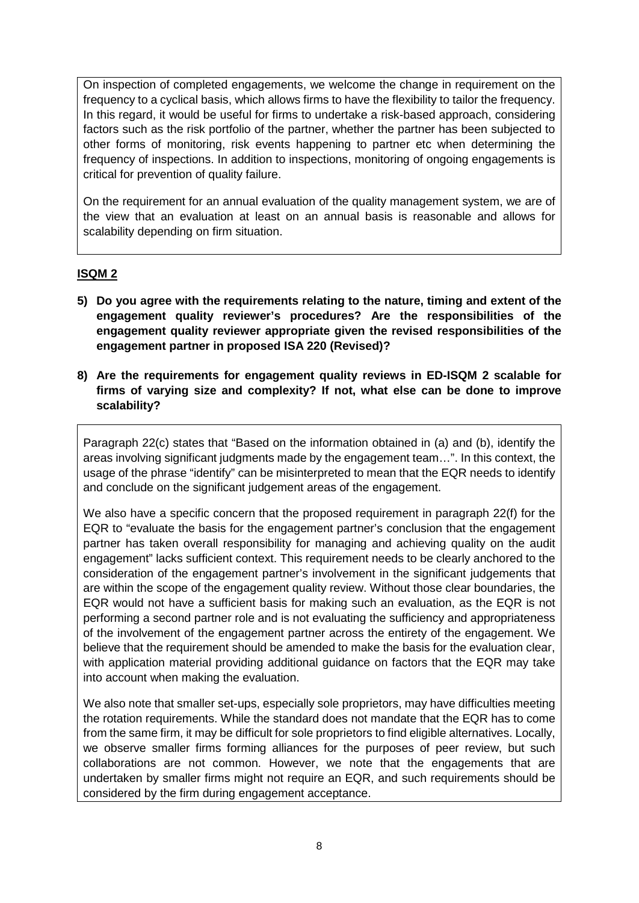On inspection of completed engagements, we welcome the change in requirement on the frequency to a cyclical basis, which allows firms to have the flexibility to tailor the frequency. In this regard, it would be useful for firms to undertake a risk-based approach, considering factors such as the risk portfolio of the partner, whether the partner has been subjected to other forms of monitoring, risk events happening to partner etc when determining the frequency of inspections. In addition to inspections, monitoring of ongoing engagements is critical for prevention of quality failure.

On the requirement for an annual evaluation of the quality management system, we are of the view that an evaluation at least on an annual basis is reasonable and allows for scalability depending on firm situation.

# **ISQM 2**

- **5) Do you agree with the requirements relating to the nature, timing and extent of the engagement quality reviewer's procedures? Are the responsibilities of the engagement quality reviewer appropriate given the revised responsibilities of the engagement partner in proposed ISA 220 (Revised)?**
- **8) Are the requirements for engagement quality reviews in ED-ISQM 2 scalable for firms of varying size and complexity? If not, what else can be done to improve scalability?**

Paragraph 22(c) states that "Based on the information obtained in (a) and (b), identify the areas involving significant judgments made by the engagement team…". In this context, the usage of the phrase "identify" can be misinterpreted to mean that the EQR needs to identify and conclude on the significant judgement areas of the engagement.

We also have a specific concern that the proposed requirement in paragraph 22(f) for the EQR to "evaluate the basis for the engagement partner's conclusion that the engagement partner has taken overall responsibility for managing and achieving quality on the audit engagement" lacks sufficient context. This requirement needs to be clearly anchored to the consideration of the engagement partner's involvement in the significant judgements that are within the scope of the engagement quality review. Without those clear boundaries, the EQR would not have a sufficient basis for making such an evaluation, as the EQR is not performing a second partner role and is not evaluating the sufficiency and appropriateness of the involvement of the engagement partner across the entirety of the engagement. We believe that the requirement should be amended to make the basis for the evaluation clear, with application material providing additional guidance on factors that the EQR may take into account when making the evaluation.

We also note that smaller set-ups, especially sole proprietors, may have difficulties meeting the rotation requirements. While the standard does not mandate that the EQR has to come from the same firm, it may be difficult for sole proprietors to find eligible alternatives. Locally, we observe smaller firms forming alliances for the purposes of peer review, but such collaborations are not common. However, we note that the engagements that are undertaken by smaller firms might not require an EQR, and such requirements should be considered by the firm during engagement acceptance.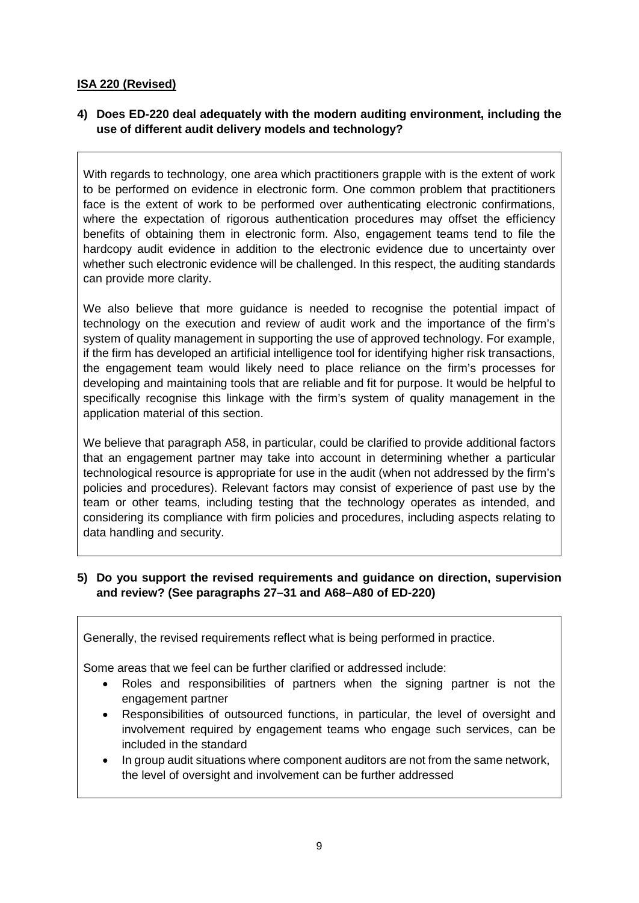### **ISA 220 (Revised)**

# **4) Does ED-220 deal adequately with the modern auditing environment, including the use of different audit delivery models and technology?**

With regards to technology, one area which practitioners grapple with is the extent of work to be performed on evidence in electronic form. One common problem that practitioners face is the extent of work to be performed over authenticating electronic confirmations, where the expectation of rigorous authentication procedures may offset the efficiency benefits of obtaining them in electronic form. Also, engagement teams tend to file the hardcopy audit evidence in addition to the electronic evidence due to uncertainty over whether such electronic evidence will be challenged. In this respect, the auditing standards can provide more clarity.

We also believe that more guidance is needed to recognise the potential impact of technology on the execution and review of audit work and the importance of the firm's system of quality management in supporting the use of approved technology. For example, if the firm has developed an artificial intelligence tool for identifying higher risk transactions, the engagement team would likely need to place reliance on the firm's processes for developing and maintaining tools that are reliable and fit for purpose. It would be helpful to specifically recognise this linkage with the firm's system of quality management in the application material of this section.

We believe that paragraph A58, in particular, could be clarified to provide additional factors that an engagement partner may take into account in determining whether a particular technological resource is appropriate for use in the audit (when not addressed by the firm's policies and procedures). Relevant factors may consist of experience of past use by the team or other teams, including testing that the technology operates as intended, and considering its compliance with firm policies and procedures, including aspects relating to data handling and security.

### **5) Do you support the revised requirements and guidance on direction, supervision and review? (See paragraphs 27–31 and A68–A80 of ED-220)**

Generally, the revised requirements reflect what is being performed in practice.

Some areas that we feel can be further clarified or addressed include:

- Roles and responsibilities of partners when the signing partner is not the engagement partner
- Responsibilities of outsourced functions, in particular, the level of oversight and involvement required by engagement teams who engage such services, can be included in the standard
- In group audit situations where component auditors are not from the same network, the level of oversight and involvement can be further addressed